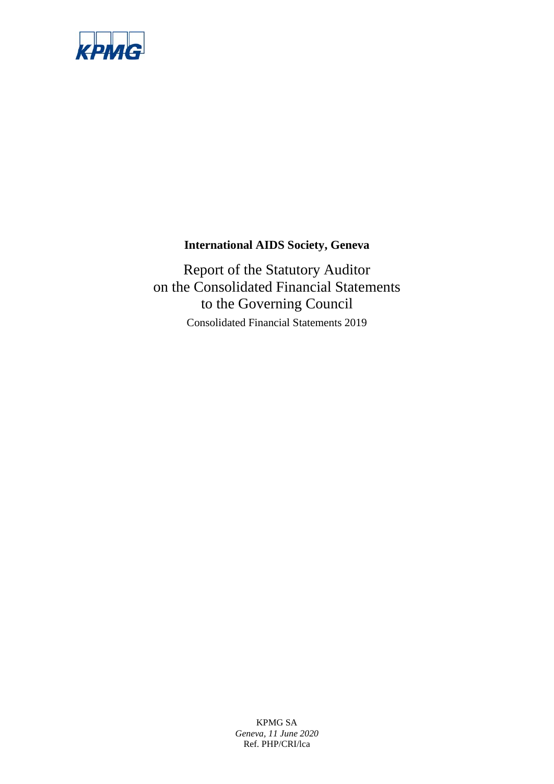

# **International AIDS Society, Geneva**

Report of the Statutory Auditor on the Consolidated Financial Statements to the Governing Council Consolidated Financial Statements 2019

> KPMG SA *Geneva, 11 June 2020* Ref. PHP/CRI/lca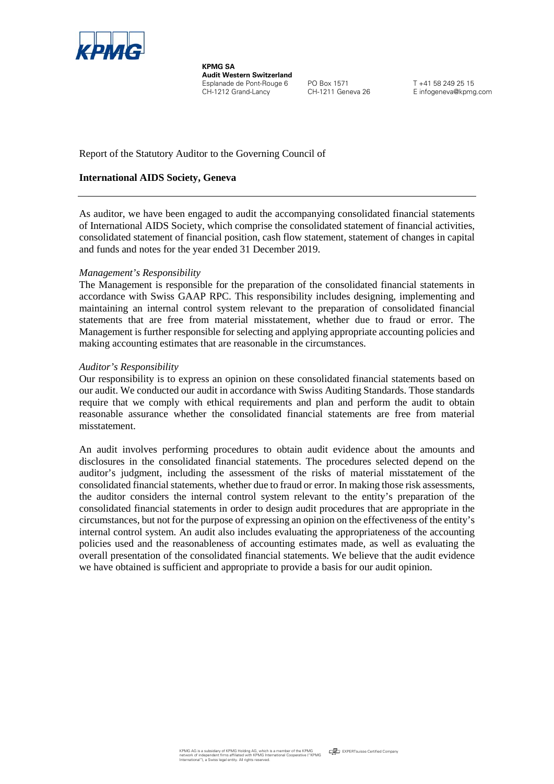

**KPMG SA Audit Western Switzerland** Esplanade de Pont-Rouge 6 PO Box 1571 T +41 58 249 25 15<br>CH-1212 Grand-Lancy CH-1211 Geneva 26 E infogeneva@kpm

E infogeneva@kpmg.com

Report of the Statutory Auditor to the Governing Council of

## **International AIDS Society, Geneva**

As auditor, we have been engaged to audit the accompanying consolidated financial statements of International AIDS Society, which comprise the consolidated statement of financial activities, consolidated statement of financial position, cash flow statement, statement of changes in capital and funds and notes for the year ended 31 December 2019.

### *Management's Responsibility*

The Management is responsible for the preparation of the consolidated financial statements in accordance with Swiss GAAP RPC. This responsibility includes designing, implementing and maintaining an internal control system relevant to the preparation of consolidated financial statements that are free from material misstatement, whether due to fraud or error. The Management is further responsible for selecting and applying appropriate accounting policies and making accounting estimates that are reasonable in the circumstances.

#### *Auditor's Responsibility*

Our responsibility is to express an opinion on these consolidated financial statements based on our audit. We conducted our audit in accordance with Swiss Auditing Standards. Those standards require that we comply with ethical requirements and plan and perform the audit to obtain reasonable assurance whether the consolidated financial statements are free from material misstatement.

An audit involves performing procedures to obtain audit evidence about the amounts and disclosures in the consolidated financial statements. The procedures selected depend on the auditor's judgment, including the assessment of the risks of material misstatement of the consolidated financial statements, whether due to fraud or error. In making those risk assessments, the auditor considers the internal control system relevant to the entity's preparation of the consolidated financial statements in order to design audit procedures that are appropriate in the circumstances, but not for the purpose of expressing an opinion on the effectiveness of the entity's internal control system. An audit also includes evaluating the appropriateness of the accounting policies used and the reasonableness of accounting estimates made, as well as evaluating the overall presentation of the consolidated financial statements. We believe that the audit evidence we have obtained is sufficient and appropriate to provide a basis for our audit opinion.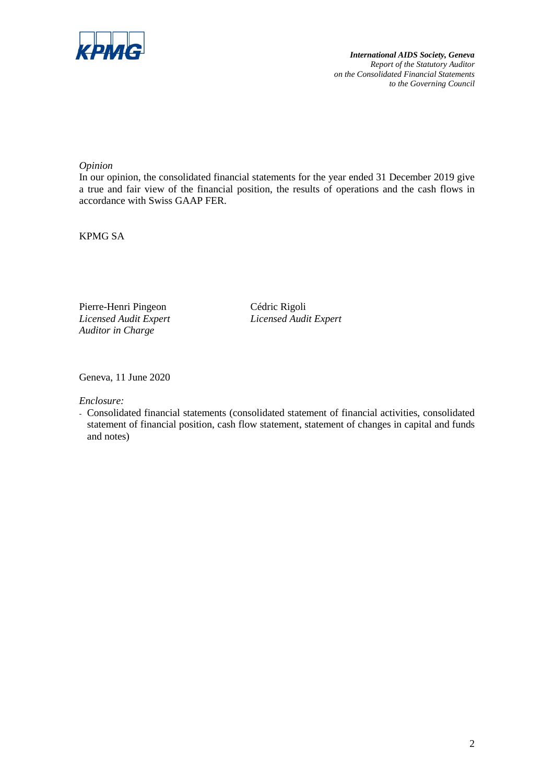

*International AIDS Society, Geneva Report of the Statutory Auditor on the Consolidated Financial Statements to the Governing Council* 

## *Opinion*

In our opinion, the consolidated financial statements for the year ended 31 December 2019 give a true and fair view of the financial position, the results of operations and the cash flows in accordance with Swiss GAAP FER.

KPMG SA

Pierre-Henri Pingeon Cédric Rigoli *Auditor in Charge*

*Licensed Audit Expert Licensed Audit Expert*

Geneva, 11 June 2020

*Enclosure:*

- Consolidated financial statements (consolidated statement of financial activities, consolidated statement of financial position, cash flow statement, statement of changes in capital and funds and notes)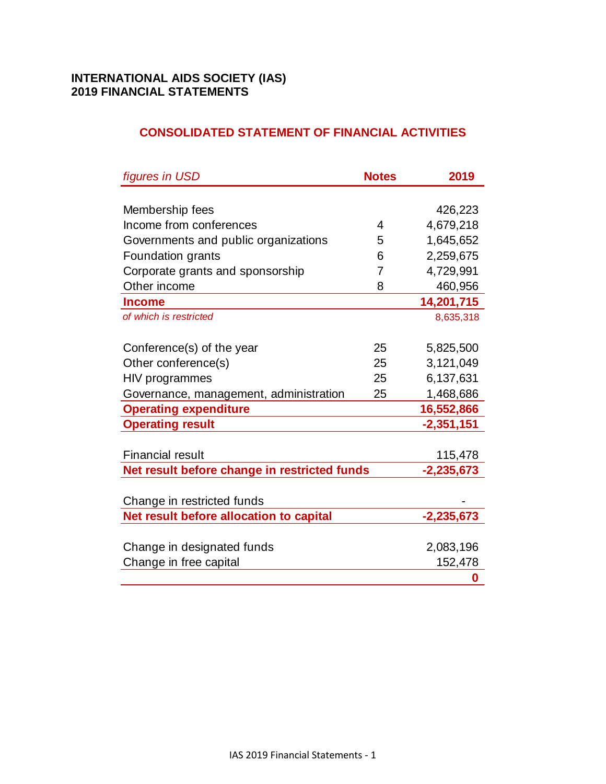# **CONSOLIDATED STATEMENT OF FINANCIAL ACTIVITIES**

| figures in USD                               | <b>Notes</b> | 2019         |
|----------------------------------------------|--------------|--------------|
|                                              |              |              |
| Membership fees                              |              | 426,223      |
| Income from conferences                      | 4            | 4,679,218    |
| Governments and public organizations         | 5            | 1,645,652    |
| Foundation grants                            | 6            | 2,259,675    |
| Corporate grants and sponsorship             | 7            | 4,729,991    |
| Other income                                 | 8            | 460,956      |
| <b>Income</b>                                |              | 14,201,715   |
| of which is restricted                       |              | 8,635,318    |
|                                              |              |              |
| Conference(s) of the year                    | 25           | 5,825,500    |
| Other conference(s)                          | 25           | 3,121,049    |
| HIV programmes                               | 25           | 6,137,631    |
| Governance, management, administration       | 25           | 1,468,686    |
| <b>Operating expenditure</b>                 |              | 16,552,866   |
| <b>Operating result</b>                      |              | $-2,351,151$ |
|                                              |              |              |
| <b>Financial result</b>                      |              | 115,478      |
| Net result before change in restricted funds |              | $-2,235,673$ |
|                                              |              |              |
| Change in restricted funds                   |              |              |
| Net result before allocation to capital      |              | $-2,235,673$ |
|                                              |              |              |
| Change in designated funds                   |              | 2,083,196    |
| Change in free capital                       |              | 152,478      |
|                                              |              | 0            |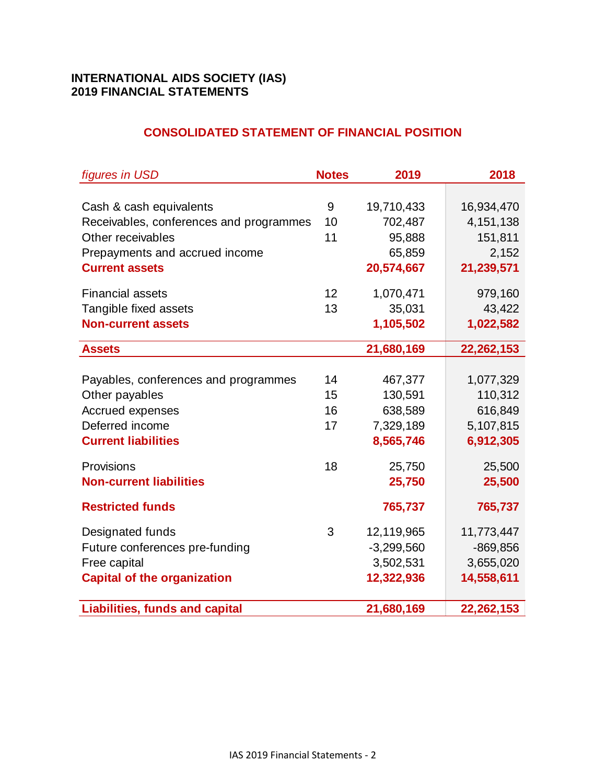# **CONSOLIDATED STATEMENT OF FINANCIAL POSITION**

| figures in USD                          | <b>Notes</b>    | 2019         | 2018        |
|-----------------------------------------|-----------------|--------------|-------------|
|                                         |                 |              |             |
| Cash & cash equivalents                 | 9               | 19,710,433   | 16,934,470  |
| Receivables, conferences and programmes | 10              | 702,487      | 4, 151, 138 |
| Other receivables                       | 11              | 95,888       | 151,811     |
| Prepayments and accrued income          |                 | 65,859       | 2,152       |
| <b>Current assets</b>                   |                 | 20,574,667   | 21,239,571  |
| <b>Financial assets</b>                 | 12 <sup>2</sup> | 1,070,471    | 979,160     |
| Tangible fixed assets                   | 13              | 35,031       | 43,422      |
| <b>Non-current assets</b>               |                 | 1,105,502    | 1,022,582   |
| <b>Assets</b>                           |                 | 21,680,169   | 22,262,153  |
|                                         |                 |              |             |
| Payables, conferences and programmes    | 14              | 467,377      | 1,077,329   |
| Other payables                          | 15              | 130,591      | 110,312     |
| <b>Accrued expenses</b>                 | 16              | 638,589      | 616,849     |
| Deferred income                         | 17              | 7,329,189    | 5,107,815   |
| <b>Current liabilities</b>              |                 | 8,565,746    | 6,912,305   |
| Provisions                              | 18              | 25,750       | 25,500      |
| <b>Non-current liabilities</b>          |                 | 25,750       | 25,500      |
| <b>Restricted funds</b>                 |                 | 765,737      | 765,737     |
| Designated funds                        | 3               | 12,119,965   | 11,773,447  |
| Future conferences pre-funding          |                 | $-3,299,560$ | $-869, 856$ |
| Free capital                            |                 | 3,502,531    | 3,655,020   |
| <b>Capital of the organization</b>      |                 | 12,322,936   | 14,558,611  |
| <b>Liabilities, funds and capital</b>   |                 | 21,680,169   | 22,262,153  |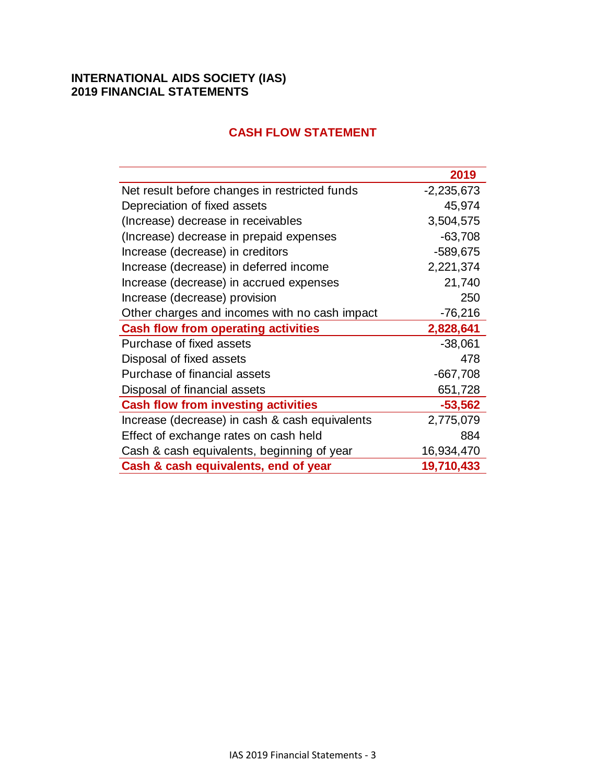|                                                | 2019         |
|------------------------------------------------|--------------|
| Net result before changes in restricted funds  | $-2,235,673$ |
| Depreciation of fixed assets                   | 45,974       |
| (Increase) decrease in receivables             | 3,504,575    |
| (Increase) decrease in prepaid expenses        | $-63,708$    |
| Increase (decrease) in creditors               | -589,675     |
| Increase (decrease) in deferred income         | 2,221,374    |
| Increase (decrease) in accrued expenses        | 21,740       |
| Increase (decrease) provision                  | 250          |
| Other charges and incomes with no cash impact  | $-76,216$    |
| <b>Cash flow from operating activities</b>     | 2,828,641    |
| Purchase of fixed assets                       | $-38,061$    |
| Disposal of fixed assets                       | 478          |
| Purchase of financial assets                   | $-667,708$   |
| Disposal of financial assets                   | 651,728      |
| <b>Cash flow from investing activities</b>     | $-53,562$    |
| Increase (decrease) in cash & cash equivalents | 2,775,079    |
| Effect of exchange rates on cash held          | 884          |
| Cash & cash equivalents, beginning of year     | 16,934,470   |
| Cash & cash equivalents, end of year           | 19,710,433   |

# **CASH FLOW STATEMENT**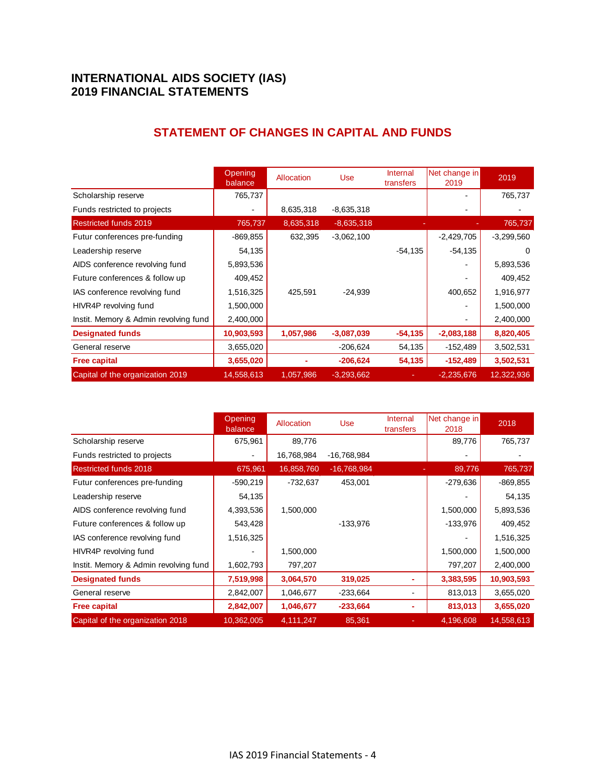|                                       | Opening<br>balance | Allocation | <b>Use</b>   | Internal<br>transfers | Net change in<br>2019 | 2019         |
|---------------------------------------|--------------------|------------|--------------|-----------------------|-----------------------|--------------|
| Scholarship reserve                   | 765,737            |            |              |                       |                       | 765,737      |
| Funds restricted to projects          |                    | 8,635,318  | $-8,635,318$ |                       |                       |              |
| <b>Restricted funds 2019</b>          | 765,737            | 8,635,318  | $-8,635,318$ |                       |                       | 765,737      |
| Futur conferences pre-funding         | $-869.855$         | 632,395    | $-3,062,100$ |                       | $-2,429,705$          | $-3,299,560$ |
| Leadership reserve                    | 54,135             |            |              | $-54,135$             | $-54,135$             | $\Omega$     |
| AIDS conference revolving fund        | 5,893,536          |            |              |                       |                       | 5,893,536    |
| Future conferences & follow up        | 409,452            |            |              |                       |                       | 409,452      |
| IAS conference revolving fund         | 1,516,325          | 425,591    | $-24,939$    |                       | 400,652               | 1,916,977    |
| HIVR4P revolving fund                 | 1,500,000          |            |              |                       |                       | 1,500,000    |
| Instit. Memory & Admin revolving fund | 2,400,000          |            |              |                       |                       | 2,400,000    |
| <b>Designated funds</b>               | 10,903,593         | 1,057,986  | $-3,087,039$ | $-54,135$             | $-2,083,188$          | 8,820,405    |
| General reserve                       | 3,655,020          |            | $-206,624$   | 54,135                | $-152,489$            | 3,502,531    |
| <b>Free capital</b>                   | 3,655,020          |            | $-206,624$   | 54,135                | $-152,489$            | 3,502,531    |
| Capital of the organization 2019      | 14,558,613         | 1,057,986  | $-3,293,662$ |                       | $-2,235,676$          | 12,322,936   |

# **STATEMENT OF CHANGES IN CAPITAL AND FUNDS**

|                                       | Opening<br>balance | Allocation | <b>Use</b>    | Internal<br>transfers | Net change in<br>2018 | 2018       |
|---------------------------------------|--------------------|------------|---------------|-----------------------|-----------------------|------------|
| Scholarship reserve                   | 675,961            | 89,776     |               |                       | 89,776                | 765,737    |
| Funds restricted to projects          |                    | 16,768,984 | -16,768,984   |                       |                       |            |
| <b>Restricted funds 2018</b>          | 675,961            | 16,858,760 | $-16,768,984$ |                       | 89,776                | 765,737    |
| Futur conferences pre-funding         | $-590,219$         | $-732,637$ | 453,001       |                       | $-279,636$            | $-869.855$ |
| Leadership reserve                    | 54,135             |            |               |                       |                       | 54,135     |
| AIDS conference revolving fund        | 4,393,536          | 1,500,000  |               |                       | 1,500,000             | 5,893,536  |
| Future conferences & follow up        | 543,428            |            | $-133,976$    |                       | -133,976              | 409,452    |
| IAS conference revolving fund         | 1,516,325          |            |               |                       |                       | 1,516,325  |
| HIVR4P revolving fund                 |                    | 1,500,000  |               |                       | 1,500,000             | 1,500,000  |
| Instit. Memory & Admin revolving fund | 1,602,793          | 797,207    |               |                       | 797,207               | 2,400,000  |
| <b>Designated funds</b>               | 7,519,998          | 3,064,570  | 319,025       |                       | 3,383,595             | 10,903,593 |
| General reserve                       | 2,842,007          | 1,046,677  | $-233,664$    |                       | 813,013               | 3,655,020  |
| <b>Free capital</b>                   | 2,842,007          | 1,046,677  | $-233,664$    |                       | 813,013               | 3,655,020  |
| Capital of the organization 2018      | 10,362,005         | 4,111,247  | 85,361        |                       | 4,196,608             | 14,558,613 |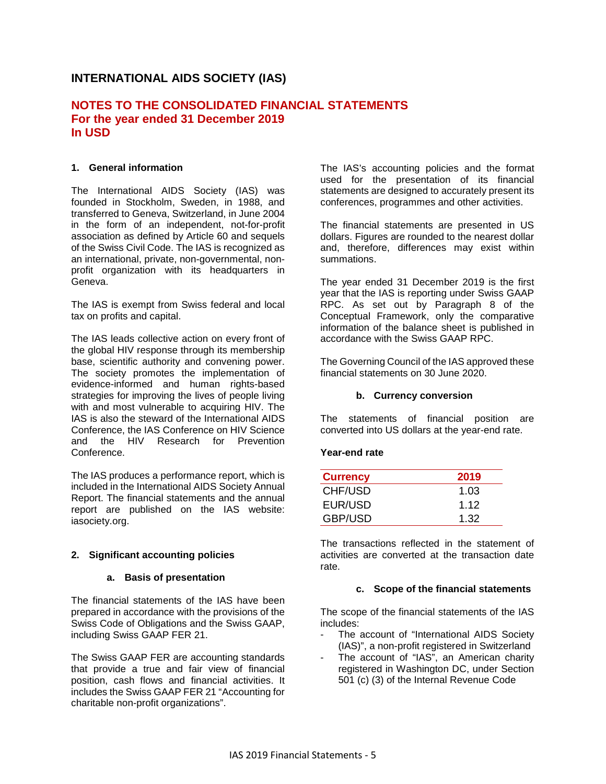# **INTERNATIONAL AIDS SOCIETY (IAS)**

## **NOTES TO THE CONSOLIDATED FINANCIAL STATEMENTS For the year ended 31 December 2019 In USD**

#### **1. General information**

The International AIDS Society (IAS) was founded in Stockholm, Sweden, in 1988, and transferred to Geneva, Switzerland, in June 2004 in the form of an independent, not-for-profit association as defined by Article 60 and sequels of the Swiss Civil Code. The IAS is recognized as an international, private, non-governmental, nonprofit organization with its headquarters in Geneva.

The IAS is exempt from Swiss federal and local tax on profits and capital.

The IAS leads collective action on every front of the global HIV response through its membership base, scientific authority and convening power. The society promotes the implementation of evidence-informed and human rights-based strategies for improving the lives of people living with and most vulnerable to acquiring HIV. The IAS is also the steward of the International AIDS Conference, the IAS Conference on HIV Science and the HIV Research for Prevention Conference.

The IAS produces a performance report, which is included in the International AIDS Society Annual Report. The financial statements and the annual report are published on the IAS website: iasociety.org.

#### **2. Significant accounting policies**

#### **a. Basis of presentation**

The financial statements of the IAS have been prepared in accordance with the provisions of the Swiss Code of Obligations and the Swiss GAAP, including Swiss GAAP FER 21.

The Swiss GAAP FER are accounting standards that provide a true and fair view of financial position, cash flows and financial activities. It includes the Swiss GAAP FER 21 "Accounting for charitable non-profit organizations".

The IAS's accounting policies and the format used for the presentation of its financial statements are designed to accurately present its conferences, programmes and other activities.

The financial statements are presented in US dollars. Figures are rounded to the nearest dollar and, therefore, differences may exist within summations.

The year ended 31 December 2019 is the first year that the IAS is reporting under Swiss GAAP RPC. As set out by Paragraph 8 of the Conceptual Framework, only the comparative information of the balance sheet is published in accordance with the Swiss GAAP RPC.

The Governing Council of the IAS approved these financial statements on 30 June 2020.

#### **b. Currency conversion**

The statements of financial position are converted into US dollars at the year-end rate.

#### **Year-end rate**

| <b>Currency</b> | 2019 |
|-----------------|------|
| CHF/USD         | 1.03 |
| EUR/USD         | 1.12 |
| <b>GBP/USD</b>  | 1.32 |

The transactions reflected in the statement of activities are converted at the transaction date rate.

#### **c. Scope of the financial statements**

The scope of the financial statements of the IAS includes:

- The account of "International AIDS Society" (IAS)", a non-profit registered in Switzerland
- The account of "IAS", an American charity registered in Washington DC, under Section 501 (c) (3) of the Internal Revenue Code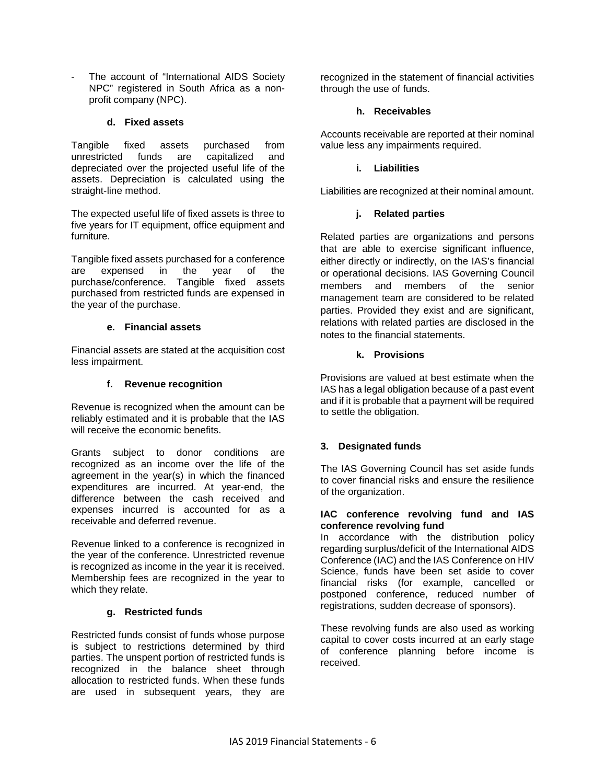The account of "International AIDS Society NPC" registered in South Africa as a nonprofit company (NPC).

### **d. Fixed assets**

Tangible fixed assets purchased from unrestricted funds are capitalized and depreciated over the projected useful life of the assets. Depreciation is calculated using the straight-line method.

The expected useful life of fixed assets is three to five years for IT equipment, office equipment and furniture.

Tangible fixed assets purchased for a conference are expensed in the year of the purchase/conference. Tangible fixed assets purchased from restricted funds are expensed in the year of the purchase.

### **e. Financial assets**

Financial assets are stated at the acquisition cost less impairment.

## **f. Revenue recognition**

Revenue is recognized when the amount can be reliably estimated and it is probable that the IAS will receive the economic benefits.

Grants subject to donor conditions are recognized as an income over the life of the agreement in the year(s) in which the financed expenditures are incurred. At year-end, the difference between the cash received and expenses incurred is accounted for as a receivable and deferred revenue.

Revenue linked to a conference is recognized in the year of the conference. Unrestricted revenue is recognized as income in the year it is received. Membership fees are recognized in the year to which they relate.

#### **g. Restricted funds**

Restricted funds consist of funds whose purpose is subject to restrictions determined by third parties. The unspent portion of restricted funds is recognized in the balance sheet through allocation to restricted funds. When these funds are used in subsequent years, they are

recognized in the statement of financial activities through the use of funds.

#### **h. Receivables**

Accounts receivable are reported at their nominal value less any impairments required.

## **i. Liabilities**

Liabilities are recognized at their nominal amount.

## **j. Related parties**

Related parties are organizations and persons that are able to exercise significant influence, either directly or indirectly, on the IAS's financial or operational decisions. IAS Governing Council members and members of the senior management team are considered to be related parties. Provided they exist and are significant, relations with related parties are disclosed in the notes to the financial statements.

### **k. Provisions**

Provisions are valued at best estimate when the IAS has a legal obligation because of a past event and if it is probable that a payment will be required to settle the obligation.

## **3. Designated funds**

The IAS Governing Council has set aside funds to cover financial risks and ensure the resilience of the organization.

#### **IAC conference revolving fund and IAS conference revolving fund**

In accordance with the distribution policy regarding surplus/deficit of the International AIDS Conference (IAC) and the IAS Conference on HIV Science, funds have been set aside to cover financial risks (for example, cancelled or postponed conference, reduced number of registrations, sudden decrease of sponsors).

These revolving funds are also used as working capital to cover costs incurred at an early stage of conference planning before income is received.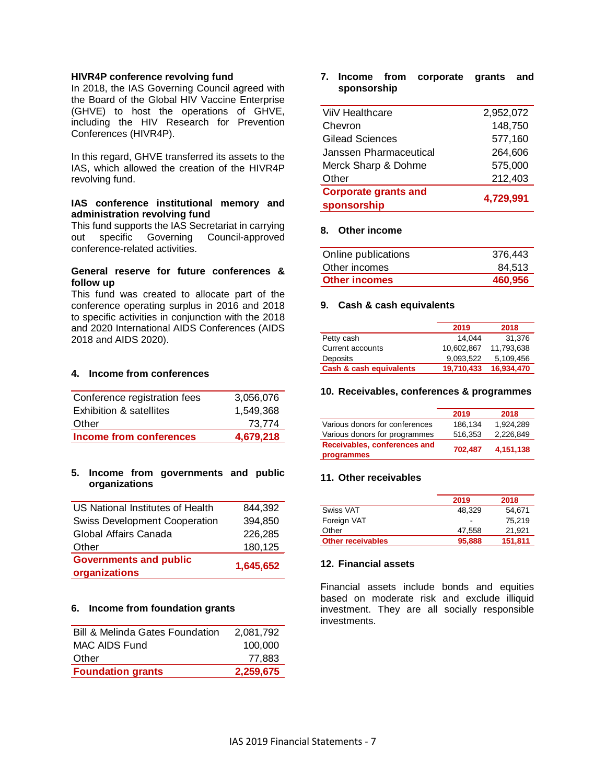#### **HIVR4P conference revolving fund**

In 2018, the IAS Governing Council agreed with the Board of the Global HIV Vaccine Enterprise (GHVE) to host the operations of GHVE, including the HIV Research for Prevention Conferences (HIVR4P).

In this regard, GHVE transferred its assets to the IAS, which allowed the creation of the HIVR4P revolving fund.

#### **IAS conference institutional memory and administration revolving fund**

This fund supports the IAS Secretariat in carrying out specific Governing Council-approved conference-related activities.

#### **General reserve for future conferences & follow up**

This fund was created to allocate part of the conference operating surplus in 2016 and 2018 to specific activities in conjunction with the 2018 and 2020 International AIDS Conferences (AIDS 2018 and AIDS 2020).

#### **4. Income from conferences**

| Conference registration fees | 3,056,076 |
|------------------------------|-----------|
| Exhibition & satellites      | 1.549.368 |
| Other                        | 73.774    |
| Income from conferences      | 4,679,218 |

#### **5. Income from governments and public organizations**

| organizations                        |           |
|--------------------------------------|-----------|
| <b>Governments and public</b>        | 1,645,652 |
| Other                                | 180,125   |
| Global Affairs Canada                | 226,285   |
| <b>Swiss Development Cooperation</b> | 394,850   |
| US National Institutes of Health     | 844,392   |

#### **6. Income from foundation grants**

| <b>Bill &amp; Melinda Gates Foundation</b> | 2.081.792 |
|--------------------------------------------|-----------|
| MAC AIDS Fund                              | 100,000   |
| Other                                      | 77.883    |
| <b>Foundation grants</b>                   | 2,259,675 |

#### **7. Income from corporate grants and sponsorship**

| ViiV Healthcare             | 2,952,072 |
|-----------------------------|-----------|
| Chevron                     | 148,750   |
| <b>Gilead Sciences</b>      | 577,160   |
| Janssen Pharmaceutical      | 264,606   |
| Merck Sharp & Dohme         | 575,000   |
| Other                       | 212,403   |
| <b>Corporate grants and</b> | 4,729,991 |
| sponsorship                 |           |

#### **8. Other income**

| Online publications  | 376.443 |
|----------------------|---------|
| Other incomes        | 84.513  |
| <b>Other incomes</b> | 460.956 |

#### **9. Cash & cash equivalents**

|                         | 2019       | 2018       |
|-------------------------|------------|------------|
| Petty cash              | 14.044     | 31.376     |
| Current accounts        | 10.602.867 | 11.793.638 |
| Deposits                | 9.093.522  | 5.109.456  |
| Cash & cash equivalents | 19,710,433 | 16,934,470 |

#### **10. Receivables, conferences & programmes**

|                                | 2019    | 2018      |
|--------------------------------|---------|-----------|
| Various donors for conferences | 186,134 | 1.924.289 |
| Various donors for programmes  | 516,353 | 2,226,849 |
| Receivables, conferences and   | 702.487 |           |
| programmes                     |         | 4,151,138 |

#### **11. Other receivables**

|                          | 2019                     | 2018    |
|--------------------------|--------------------------|---------|
| Swiss VAT                | 48.329                   | 54.671  |
| Foreign VAT              | $\overline{\phantom{0}}$ | 75.219  |
| Other                    | 47.558                   | 21.921  |
| <b>Other receivables</b> | 95,888                   | 151,811 |

#### **12. Financial assets**

Financial assets include bonds and equities based on moderate risk and exclude illiquid investment. They are all socially responsible investments.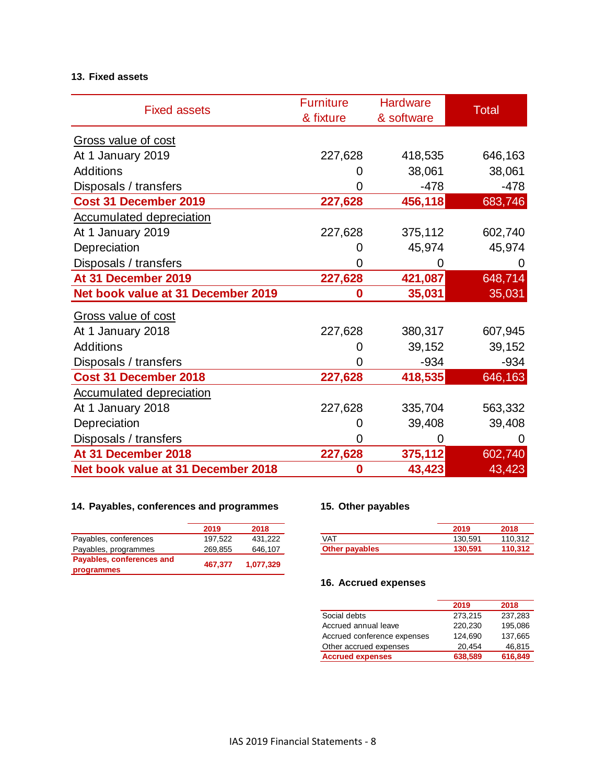## **13. Fixed assets**

| <b>Fixed assets</b>                | <b>Furniture</b><br>& fixture | <b>Hardware</b><br>& software | <b>Total</b> |
|------------------------------------|-------------------------------|-------------------------------|--------------|
| Gross value of cost                |                               |                               |              |
| At 1 January 2019                  | 227,628                       | 418,535                       | 646,163      |
| <b>Additions</b>                   |                               | 38,061                        | 38,061       |
| Disposals / transfers              | 0                             | $-478$                        | $-478$       |
| Cost 31 December 2019              | 227,628                       | 456,118                       | 683,746      |
| <b>Accumulated depreciation</b>    |                               |                               |              |
| At 1 January 2019                  | 227,628                       | 375,112                       | 602,740      |
| Depreciation                       | 0                             | 45,974                        | 45,974       |
| Disposals / transfers              | O                             | 0                             | $\mathbf{0}$ |
| At 31 December 2019                | 227,628                       | 421,087                       | 648,714      |
| Net book value at 31 December 2019 | 0                             | 35,031                        | 35,031       |
| Gross value of cost                |                               |                               |              |
| At 1 January 2018                  | 227,628                       | 380,317                       | 607,945      |
| <b>Additions</b>                   | 0                             | 39,152                        | 39,152       |
| Disposals / transfers              | 0                             | $-934$                        | $-934$       |
| Cost 31 December 2018              | 227,628                       | 418,535                       | 646,163      |
| <b>Accumulated depreciation</b>    |                               |                               |              |
| At 1 January 2018                  | 227,628                       | 335,704                       | 563,332      |
| Depreciation                       | 0                             | 39,408                        | 39,408       |
| Disposals / transfers              | O                             | 0                             | 0            |
| At 31 December 2018                | 227,628                       | 375,112                       | 602,740      |
| Net book value at 31 December 2018 | 0                             | 43,423                        | 43,423       |

# **14. Payables, conferences and programmes 15. Other payables**

|                           | 2019    | 2018      |
|---------------------------|---------|-----------|
| Payables, conferences     | 197.522 | 431.222   |
| Payables, programmes      | 269.855 | 646,107   |
| Payables, conferences and | 467.377 | 1,077,329 |
| programmes                |         |           |

|                | 2019    | 2018    |
|----------------|---------|---------|
| VAT            | 130.591 | 110.312 |
| Other payables | 130,591 | 110,312 |

## **16. Accrued expenses**

|                             | 2019    | 2018    |
|-----------------------------|---------|---------|
| Social debts                | 273.215 | 237,283 |
| Accrued annual leave        | 220.230 | 195.086 |
| Accrued conference expenses | 124.690 | 137,665 |
| Other accrued expenses      | 20,454  | 46,815  |
| <b>Accrued expenses</b>     | 638,589 | 616,849 |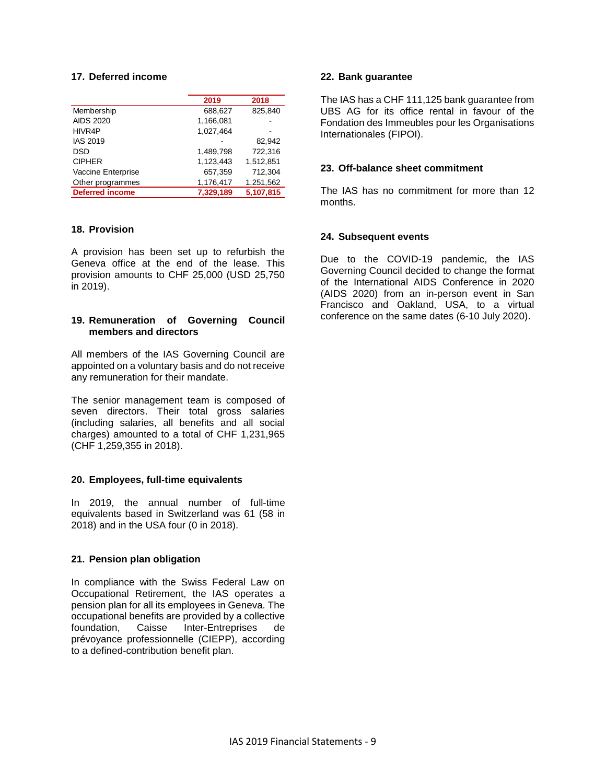### **17. Deferred income**

|                        | 2019      | 2018      |
|------------------------|-----------|-----------|
| Membership             | 688,627   | 825,840   |
| <b>AIDS 2020</b>       | 1,166,081 |           |
| HIVR4P                 | 1.027.464 |           |
| <b>IAS 2019</b>        |           | 82.942    |
| <b>DSD</b>             | 1.489.798 | 722.316   |
| <b>CIPHER</b>          | 1,123,443 | 1,512,851 |
| Vaccine Enterprise     | 657,359   | 712,304   |
| Other programmes       | 1,176,417 | 1,251,562 |
| <b>Deferred income</b> | 7,329,189 | 5,107,815 |

#### **18. Provision**

A provision has been set up to refurbish the Geneva office at the end of the lease. This provision amounts to CHF 25,000 (USD 25,750 in 2019).

#### **19. Remuneration of Governing Council members and directors**

All members of the IAS Governing Council are appointed on a voluntary basis and do not receive any remuneration for their mandate.

The senior management team is composed of seven directors. Their total gross salaries (including salaries, all benefits and all social charges) amounted to a total of CHF 1,231,965 (CHF 1,259,355 in 2018).

#### **20. Employees, full-time equivalents**

In 2019, the annual number of full-time equivalents based in Switzerland was 61 (58 in 2018) and in the USA four (0 in 2018).

#### **21. Pension plan obligation**

In compliance with the Swiss Federal Law on Occupational Retirement, the IAS operates a pension plan for all its employees in Geneva. The occupational benefits are provided by a collective Inter-Entreprises de prévoyance professionnelle (CIEPP), according to a defined-contribution benefit plan.

#### **22. Bank guarantee**

The IAS has a CHF 111,125 bank guarantee from UBS AG for its office rental in favour of the Fondation des Immeubles pour les Organisations Internationales (FIPOI).

#### **23. Off-balance sheet commitment**

The IAS has no commitment for more than 12 months.

#### **24. Subsequent events**

Due to the COVID-19 pandemic, the IAS Governing Council decided to change the format of the International AIDS Conference in 2020 (AIDS 2020) from an in-person event in San Francisco and Oakland, USA, to a virtual conference on the same dates (6-10 July 2020).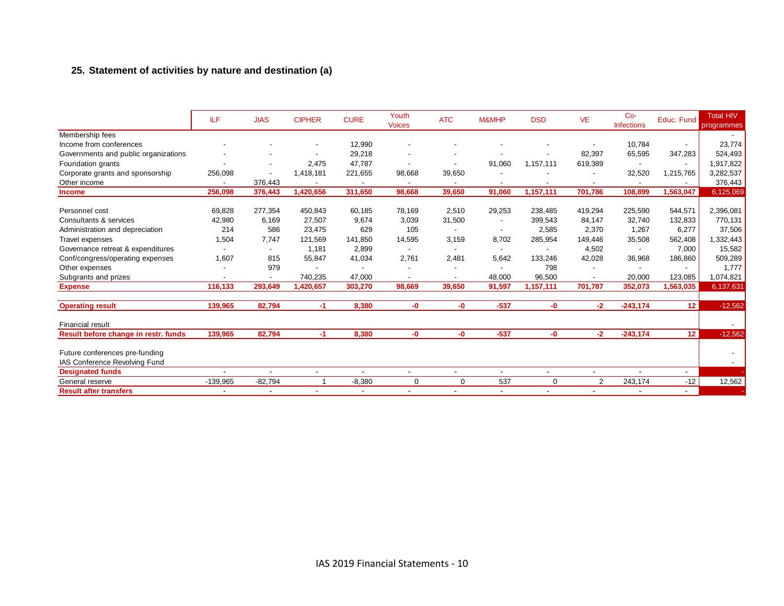## **25. Statement of activities by nature and destination (a)**

|                                      | <b>ILF</b> | <b>JIAS</b>              | <b>CIPHER</b> | <b>CURE</b> | Youth<br><b>Voices</b>   | <b>ATC</b>               | M&MHP  | <b>DSD</b> | <b>VE</b>                | $Co-$<br><b>Infections</b> | Educ. Fund      | <b>Total HIV</b><br>programmes |
|--------------------------------------|------------|--------------------------|---------------|-------------|--------------------------|--------------------------|--------|------------|--------------------------|----------------------------|-----------------|--------------------------------|
| Membership fees                      |            |                          |               |             |                          |                          |        |            |                          |                            |                 |                                |
| Income from conferences              |            |                          |               | 12,990      |                          |                          |        |            |                          | 10,784                     | $\sim$          | 23,774                         |
| Governments and public organizations |            |                          |               | 29,218      |                          |                          |        |            | 82,397                   | 65,595                     | 347,283         | 524,493                        |
| Foundation grants                    |            |                          | 2,475         | 47,787      |                          | $\blacksquare$           | 91,060 | 1,157,111  | 619,389                  |                            |                 | 1,917,822                      |
| Corporate grants and sponsorship     | 256,098    |                          | 1,418,181     | 221,655     | 98,668                   | 39,650                   |        |            |                          | 32,520                     | 1,215,765       | 3,282,537                      |
| Other income                         |            | 376,443                  |               |             |                          |                          |        |            | $\overline{\phantom{a}}$ |                            |                 | 376,443                        |
| <b>Income</b>                        | 256,098    | 376,443                  | 1,420,656     | 311,650     | 98,668                   | 39,650                   | 91,060 | 1,157,111  | 701,786                  | 108,899                    | 1,563,047       | 6,125,069                      |
|                                      |            |                          |               |             |                          |                          |        |            |                          |                            |                 |                                |
| Personnel cost                       | 69,828     | 277,354                  | 450,843       | 60,185      | 78,169                   | 2,510                    | 29,253 | 238,485    | 419,294                  | 225,590                    | 544,571         | 2,396,081                      |
| Consultants & services               | 42,980     | 6,169                    | 27,507        | 9,674       | 3,039                    | 31,500                   |        | 399,543    | 84,147                   | 32,740                     | 132,833         | 770,131                        |
| Administration and depreciation      | 214        | 586                      | 23,475        | 629         | 105                      |                          |        | 2,585      | 2,370                    | 1,267                      | 6,277           | 37,506                         |
| Travel expenses                      | 1,504      | 7,747                    | 121,569       | 141,850     | 14,595                   | 3,159                    | 8,702  | 285,954    | 149,446                  | 35,508                     | 562,408         | 332,443                        |
| Governance retreat & expenditures    |            | $\overline{\phantom{a}}$ | 1.181         | 2,899       | $\overline{\phantom{a}}$ | $\overline{\phantom{a}}$ |        |            | 4,502                    |                            | 7,000           | 15,582                         |
| Conf/congress/operating expenses     | 1,607      | 815                      | 55,847        | 41,034      | 2,761                    | 2.481                    | 5,642  | 133,246    | 42,028                   | 36,968                     | 186,860         | 509,289                        |
| Other expenses                       |            | 979                      |               |             |                          |                          |        | 798        |                          |                            |                 | 1,777                          |
| Subgrants and prizes                 |            |                          | 740,235       | 47,000      |                          |                          | 48,000 | 96,500     |                          | 20,000                     | 123,085         | 1,074,821                      |
| <b>Expense</b>                       | 116,133    | 293,649                  | 1,420,657     | 303,270     | 98,669                   | 39,650                   | 91,597 | 1,157,111  | 701,787                  | 352,073                    | 1,563,035       | 6,137,631                      |
| <b>Operating result</b>              | 139,965    | 82,794                   | -1.           | 8,380       | -0                       | -0                       | $-537$ | -0         | $-2$                     | $-243,174$                 | 12              | $-12,562$                      |
| <b>Financial result</b>              |            |                          |               |             |                          |                          |        |            |                          |                            |                 | $\sim$                         |
| Result before change in restr. funds | 139,965    | 82,794                   | -1            | 8,380       | -0                       | -0                       | $-537$ | -0         | $-2$                     | $-243,174$                 | 12 <sup>2</sup> | $-12,562$                      |
| Future conferences pre-funding       |            |                          |               |             |                          |                          |        |            |                          |                            |                 |                                |
| IAS Conference Revolving Fund        |            |                          |               |             |                          |                          |        |            |                          |                            |                 |                                |
| <b>Designated funds</b>              |            | $\sim$                   | ٠             | $\sim$      | $\blacksquare$           | ٠                        | ٠      | ٠          | $\sim$                   |                            | A.              |                                |
| General reserve                      | $-139,965$ | $-82,794$                |               | $-8,380$    | $\mathbf 0$              | 0                        | 537    | 0          | 2                        | 243,174                    | $-12$           | 12,562                         |
| <b>Result after transfers</b>        |            |                          |               | ٠           | ۰                        | ٠                        | ٠      | $\sim$     | $\sim$                   |                            | ×.              |                                |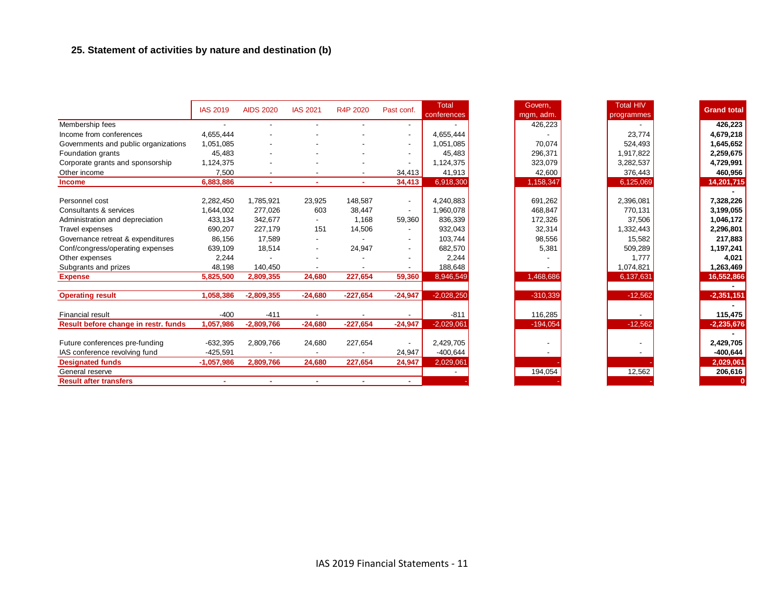## **25. Statement of activities by nature and destination (b)**

|                                      | <b>IAS 2019</b>          | <b>AIDS 2020</b>         | <b>IAS 2021</b>          | R4P 2020                 | Past conf.               | <b>Total</b><br>conferences |
|--------------------------------------|--------------------------|--------------------------|--------------------------|--------------------------|--------------------------|-----------------------------|
| Membership fees                      | $\overline{\phantom{a}}$ | $\overline{\phantom{a}}$ |                          |                          | $\overline{a}$           |                             |
| Income from conferences              | 4,655,444                |                          |                          |                          | $\overline{\phantom{a}}$ | 4,655,444                   |
| Governments and public organizations | 1,051,085                |                          |                          |                          | $\overline{a}$           | 1,051,085                   |
| Foundation grants                    | 45,483                   | $\overline{\phantom{a}}$ |                          |                          | $\overline{\phantom{a}}$ | 45,483                      |
| Corporate grants and sponsorship     | 1,124,375                |                          |                          |                          | $\overline{\phantom{a}}$ | 1,124,375                   |
| Other income                         | 7,500                    | $\overline{\phantom{a}}$ | $\overline{\phantom{a}}$ | $\overline{\phantom{a}}$ | 34,413                   | 41,913                      |
| <b>Income</b>                        | 6,883,886                | $\sim$                   | $\sim$                   | $\sim$                   | 34,413                   | 6,918,300                   |
|                                      |                          |                          |                          |                          |                          |                             |
| Personnel cost                       | 2,282,450                | 1,785,921                | 23,925                   | 148,587                  | $\overline{\phantom{a}}$ | 4,240,883                   |
| Consultants & services               | 1,644,002                | 277,026                  | 603                      | 38,447                   | $\blacksquare$           | 1,960,078                   |
| Administration and depreciation      | 433,134                  | 342,677                  |                          | 1,168                    | 59,360                   | 836,339                     |
| Travel expenses                      | 690,207                  | 227,179                  | 151                      | 14,506                   | $\overline{\phantom{a}}$ | 932,043                     |
| Governance retreat & expenditures    | 86,156                   | 17.589                   | $\overline{\phantom{a}}$ |                          | $\overline{a}$           | 103,744                     |
| Conf/congress/operating expenses     | 639,109                  | 18,514                   | $\overline{\phantom{a}}$ | 24,947                   | $\sim$                   | 682,570                     |
| Other expenses                       | 2,244                    |                          |                          |                          | $\overline{\phantom{a}}$ | 2,244                       |
| Subgrants and prizes                 | 48,198                   | 140,450                  |                          |                          |                          | 188,648                     |
| <b>Expense</b>                       | 5,825,500                | 2,809,355                | 24,680                   | 227,654                  | 59,360                   | 8,946,549                   |
|                                      |                          |                          |                          |                          |                          |                             |
| <b>Operating result</b>              | 1,058,386                | $-2,809,355$             | $-24,680$                | $-227,654$               | $-24,947$                | $-2,028,250$                |
| Financial result                     | $-400$                   | $-411$                   | $\blacksquare$           | $\overline{\phantom{a}}$ | $\overline{\phantom{a}}$ | $-811$                      |
| Result before change in restr. funds | 1,057,986                | $-2,809,766$             | $-24,680$                | $-227,654$               | $-24,947$                | $-2,029,061$                |
|                                      |                          |                          |                          |                          |                          |                             |
| Future conferences pre-funding       | $-632,395$               | 2,809,766                | 24,680                   | 227,654                  | $\overline{\phantom{a}}$ | 2,429,705                   |
| IAS conference revolving fund        | $-425,591$               |                          |                          |                          | 24,947                   | $-400,644$                  |
| <b>Designated funds</b>              | $-1,057,986$             | 2,809,766                | 24,680                   | 227,654                  | 24,947                   | 2,029,061                   |
| General reserve                      |                          |                          |                          |                          |                          |                             |
| <b>Result after transfers</b>        |                          |                          |                          |                          | ۰                        |                             |

| Govern.    | <b>Total HIV</b> | <b>Grand total</b> |
|------------|------------------|--------------------|
| mgm, adm.  | programmes       |                    |
| 426,223    |                  | 426,223            |
|            | 23,774           | 4,679,218          |
| 70.074     | 524,493          | 1,645,652          |
| 296,371    | 1,917,822        | 2,259,675          |
| 323,079    | 3,282,537        | 4,729,991          |
| 42,600     | 376,443          | 460,956            |
| 1,158,347  | 6,125,069        | 14,201,715         |
|            |                  |                    |
| 691,262    | 2,396,081        | 7,328,226          |
| 468,847    | 770,131          | 3,199,055          |
| 172,326    | 37,506           | 1,046,172          |
| 32,314     | 1,332,443        | 2,296,801          |
| 98,556     | 15,582           | 217,883            |
| 5,381      | 509,289          | 1,197,241          |
|            | 1.777            | 4.021              |
|            | 1,074,821        | 1,263,469          |
| 1,468,686  | 6,137,631        | 16,552,866         |
|            |                  |                    |
| $-310,339$ | $-12,562$        | $-2,351,151$       |
|            |                  |                    |
| 116,285    |                  | 115,475            |
| $-194,054$ | $-12,562$        | $-2,235,676$       |
|            |                  |                    |
|            |                  | 2,429,705          |
|            |                  | $-400,644$         |
|            |                  | 2,029,061          |
| 194,054    | 12,562           | 206,616            |
|            |                  |                    |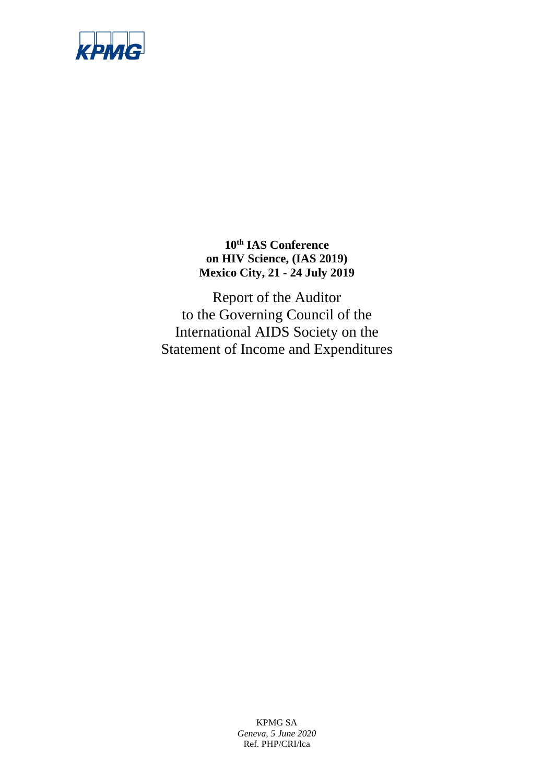

**10th IAS Conference on HIV Science, (IAS 2019) Mexico City, 21 - 24 July 2019**

Report of the Auditor to the Governing Council of the International AIDS Society on the Statement of Income and Expenditures

> KPMG SA *Geneva, 5 June 2020* Ref. PHP/CRI/lca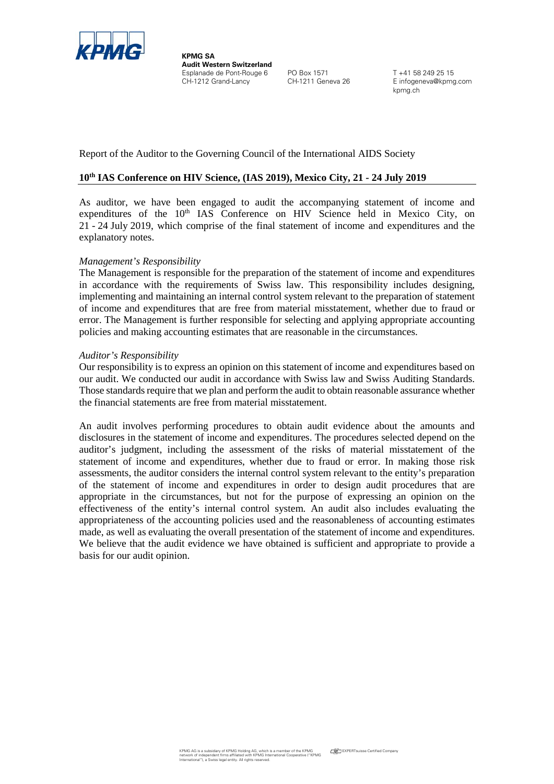

**KPMG SA Audit Western Switzerland** Esplanade de Pont-Rouge 6 PO Box 1571 T +41 58 249 25 15<br>CH-1212 Grand-Lancy CH-1211 Geneva 26 E infogeneva@kpmo

E infogeneva@kpmg.com kpmg.ch

Report of the Auditor to the Governing Council of the International AIDS Society

## **10th IAS Conference on HIV Science, (IAS 2019), Mexico City, 21 - 24 July 2019**

As auditor, we have been engaged to audit the accompanying statement of income and expenditures of the  $10<sup>th</sup>$  IAS Conference on HIV Science held in Mexico City, on 21 - 24 July 2019, which comprise of the final statement of income and expenditures and the explanatory notes.

#### *Management's Responsibility*

The Management is responsible for the preparation of the statement of income and expenditures in accordance with the requirements of Swiss law. This responsibility includes designing, implementing and maintaining an internal control system relevant to the preparation of statement of income and expenditures that are free from material misstatement, whether due to fraud or error. The Management is further responsible for selecting and applying appropriate accounting policies and making accounting estimates that are reasonable in the circumstances.

#### *Auditor's Responsibility*

Our responsibility is to express an opinion on this statement of income and expenditures based on our audit. We conducted our audit in accordance with Swiss law and Swiss Auditing Standards. Those standards require that we plan and perform the audit to obtain reasonable assurance whether the financial statements are free from material misstatement.

An audit involves performing procedures to obtain audit evidence about the amounts and disclosures in the statement of income and expenditures. The procedures selected depend on the auditor's judgment, including the assessment of the risks of material misstatement of the statement of income and expenditures, whether due to fraud or error. In making those risk assessments, the auditor considers the internal control system relevant to the entity's preparation of the statement of income and expenditures in order to design audit procedures that are appropriate in the circumstances, but not for the purpose of expressing an opinion on the effectiveness of the entity's internal control system. An audit also includes evaluating the appropriateness of the accounting policies used and the reasonableness of accounting estimates made, as well as evaluating the overall presentation of the statement of income and expenditures. We believe that the audit evidence we have obtained is sufficient and appropriate to provide a basis for our audit opinion.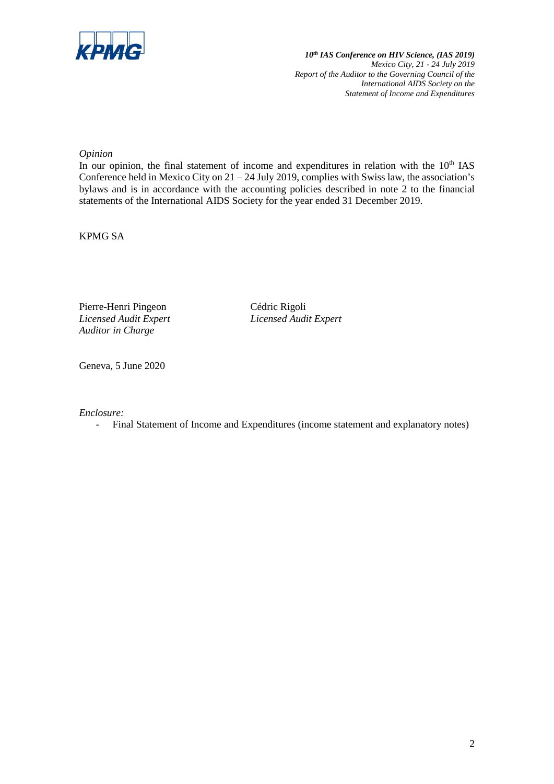

*10th IAS Conference on HIV Science, (IAS 2019) Mexico City, 21 - 24 July 2019 Report of the Auditor to the Governing Council of the International AIDS Society on the Statement of Income and Expenditures*

*Opinion*

In our opinion, the final statement of income and expenditures in relation with the  $10<sup>th</sup>$  IAS Conference held in Mexico City on 21 – 24 July 2019, complies with Swiss law, the association's bylaws and is in accordance with the accounting policies described in note 2 to the financial statements of the International AIDS Society for the year ended 31 December 2019.

KPMG SA

Pierre-Henri Pingeon Cédric Rigoli *Licensed Audit Expert Licensed Audit Expert Auditor in Charge*

Geneva, 5 June 2020

*Enclosure:*

- Final Statement of Income and Expenditures (income statement and explanatory notes)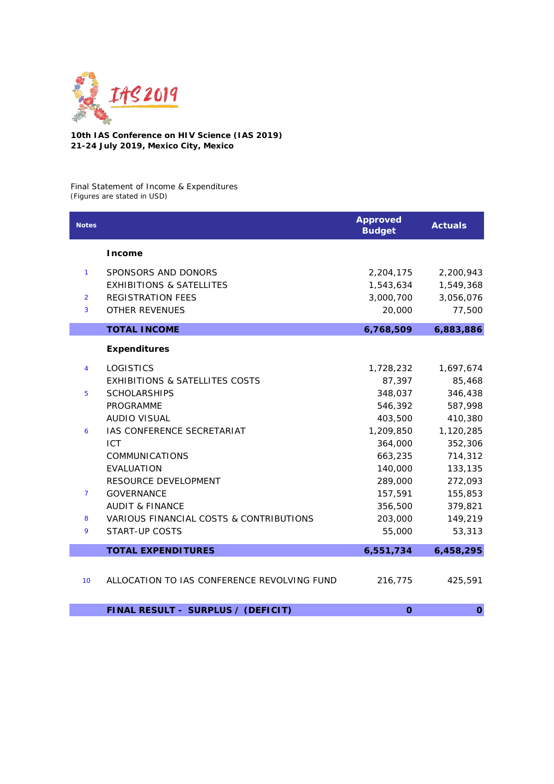

**10th IAS Conference on HIV Science (IAS 2019) 21-24 July 2019, Mexico City, Mexico**

Final Statement of Income & Expenditures *(Figures are stated in USD)*

| <b>Notes</b>   |                                             | <b>Approved</b><br><b>Budget</b> | <b>Actuals</b> |
|----------------|---------------------------------------------|----------------------------------|----------------|
|                | <b>Income</b>                               |                                  |                |
| $\mathbf{1}$   | SPONSORS AND DONORS                         | 2,204,175                        | 2,200,943      |
|                | <b>EXHIBITIONS &amp; SATELLITES</b>         | 1,543,634                        | 1,549,368      |
| $\overline{2}$ | <b>REGISTRATION FEES</b>                    | 3,000,700                        | 3,056,076      |
| 3              | <b>OTHER REVENUES</b>                       | 20,000                           | 77,500         |
|                | <b>TOTAL INCOME</b>                         | 6,768,509                        | 6,883,886      |
|                | <b>Expenditures</b>                         |                                  |                |
| $\overline{4}$ | <b>LOGISTICS</b>                            | 1,728,232                        | 1,697,674      |
|                | <b>EXHIBITIONS &amp; SATELLITES COSTS</b>   | 87,397                           | 85,468         |
| 5              | <b>SCHOLARSHIPS</b>                         | 348,037                          | 346,438        |
|                | <b>PROGRAMME</b>                            | 546,392                          | 587,998        |
|                | <b>AUDIO VISUAL</b>                         | 403,500                          | 410,380        |
| 6              | IAS CONFERENCE SECRETARIAT                  | 1,209,850                        | 1,120,285      |
|                | <b>ICT</b>                                  | 364,000                          | 352,306        |
|                | <b>COMMUNICATIONS</b>                       | 663,235                          | 714,312        |
|                | <b>EVALUATION</b>                           | 140,000                          | 133,135        |
|                | RESOURCE DEVELOPMENT                        | 289,000                          | 272,093        |
| $\overline{7}$ | <b>GOVERNANCE</b>                           | 157,591                          | 155,853        |
|                | <b>AUDIT &amp; FINANCE</b>                  | 356,500                          | 379,821        |
| 8              | VARIOUS FINANCIAL COSTS & CONTRIBUTIONS     | 203,000                          | 149,219        |
| 9              | START-UP COSTS                              | 55,000                           | 53,313         |
|                | <b>TOTAL EXPENDITURES</b>                   | 6,551,734                        | 6,458,295      |
|                |                                             |                                  |                |
| 10             | ALLOCATION TO IAS CONFERENCE REVOLVING FUND | 216,775                          | 425,591        |
|                | FINAL RESULT - SURPLUS / (DEFICIT)          | $\mathbf 0$                      | $\mathbf{o}$   |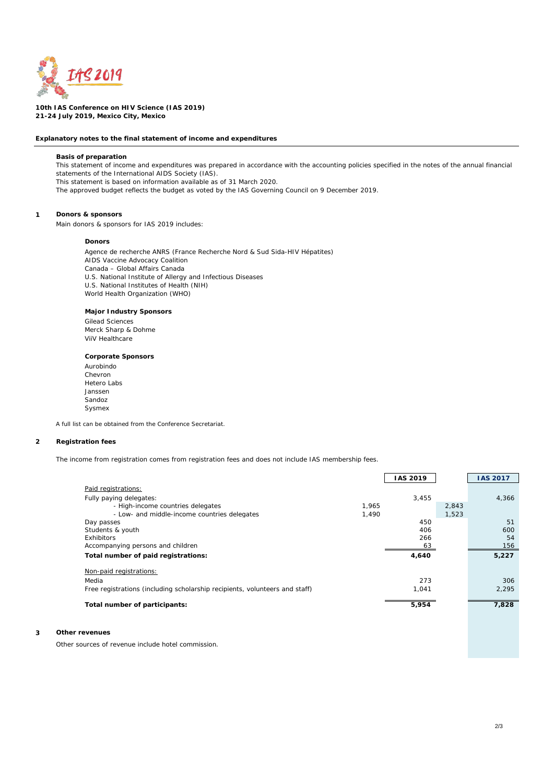

**10th IAS Conference on HIV Science (IAS 2019) 21-24 July 2019, Mexico City, Mexico**

#### **Explanatory notes to the final statement of income and expenditures**

#### **Basis of preparation**

This statement of income and expenditures was prepared in accordance with the accounting policies specified in the notes of the annual financial statements of the International AIDS Society (IAS). This statement is based on information available as of 31 March 2020.

The approved budget reflects the budget as voted by the IAS Governing Council on 9 December 2019.

#### **1 Donors & sponsors**

Main donors & sponsors for IAS 2019 includes:

#### **Donors**

Agence de recherche ANRS (France Recherche Nord & Sud Sida-HIV Hépatites) AIDS Vaccine Advocacy Coalition Canada – Global Affairs Canada U.S. National Institute of Allergy and Infectious Diseases U.S. National Institutes of Health (NIH) World Health Organization (WHO)

#### **Major Industry Sponsors**

Gilead Sciences Merck Sharp & Dohme ViiV Healthcare

#### **Corporate Sponsors**

Aurobindo Chevron Hetero Labs Janssen Sandoz Sysmex

*A full list can be obtained from the Conference Secretariat.*

#### **2 Registration fees**

The income from registration comes from registration fees and does not include IAS membership fees.

|                                                                             |       | <b>IAS 2019</b> |       | <b>IAS 2017</b> |
|-----------------------------------------------------------------------------|-------|-----------------|-------|-----------------|
| Paid registrations:                                                         |       |                 |       |                 |
| Fully paying delegates:                                                     |       | 3.455           |       | 4.366           |
| - High-income countries delegates                                           | 1.965 |                 | 2.843 |                 |
| - Low- and middle-income countries delegates                                | 1.490 |                 | 1.523 |                 |
| Day passes                                                                  |       | 450             |       | 51              |
| Students & youth                                                            |       | 406             |       | 600             |
| Exhibitors                                                                  |       | 266             |       | 54              |
| Accompanying persons and children                                           |       | 63              |       | 156             |
| Total number of paid registrations:                                         |       | 4.640           |       | 5.227           |
| Non-paid registrations:                                                     |       |                 |       |                 |
| Media                                                                       |       | 273             |       | 306             |
| Free registrations (including scholarship recipients, volunteers and staff) |       | 1.041           |       | 2.295           |
| Total number of participants:                                               |       | 5,954           |       | 7,828           |

#### **3 Other revenues**

Other sources of revenue include hotel commission.